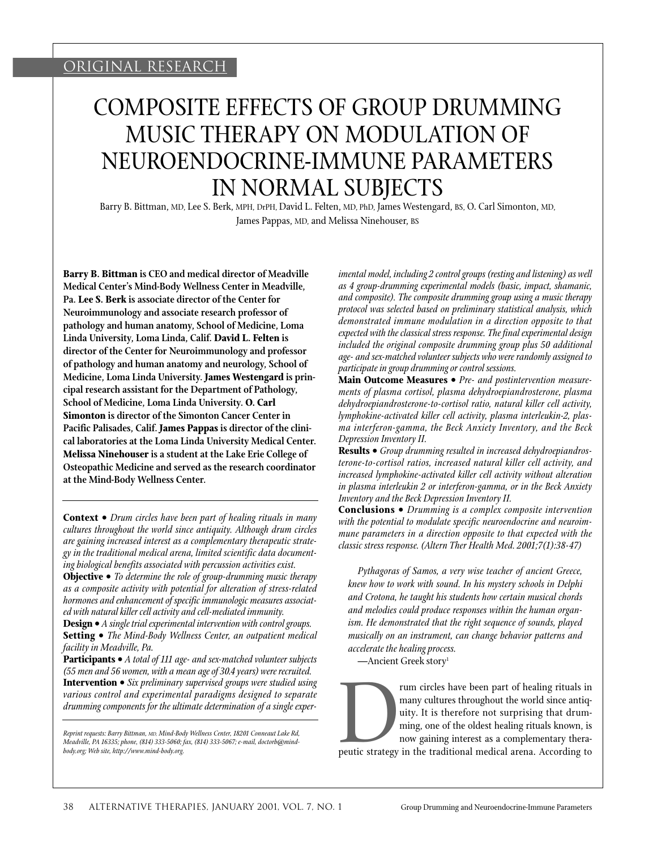# COMPOSITE EFFECTS OF GROUP DRUMMING MUSIC THERAPY ON MODULATION OF NEUROENDOCRINE-IMMUNE PARAMETERS IN NORMAL SUBJECTS

Barry B. Bittman, MD, Lee S. Berk, MPH, DrPH, David L. Felten, MD, PhD, James Westengard, BS, O. Carl Simonton, MD, James Pappas, MD, and Melissa Ninehouser, BS

**Barry B. Bittman is CEO and medical director of Meadville Medical Center's Mind-Body Wellness Center in Meadville, Pa. Lee S. Berk is associate director of the Center for Neuroimmunology and associate research professor of pathology and human anatomy, School of Medicine, Loma Linda University, Loma Linda, Calif. David L. Felten is director of the Center for Neuroimmunology and professor of pathology and human anatomy and neurology, School of Medicine, Loma Linda University. James Westengard is principal research assistant for the Department of Pathology, School of Medicine, Loma Linda University. O. Carl Simonton is director of the Simonton Cancer Center in Pacific Palisades, Calif. James Pappas is director of the clinical laboratories at the Loma Linda University Medical Center. Melissa Ninehouser is a student at the Lake Erie College of Osteopathic Medicine and served as the research coordinator at the Mind-Body Wellness Center.**

**Context •** *Drum circles have been part of healing rituals in many cultures throughout the world since antiquity. Although drum circles are gaining increased interest as a complementary therapeutic strategy in the traditional medical arena, limited scientific data documenting biological benefits associated with percussion activities exist.*

**Objective •** *To determine the role of group-drumming music therapy as a composite activity with potential for alteration of stress-related hormones and enhancement of specific immunologic measures associated with natural killer cell activity and cell-mediated immunity.*

**Design •** *A single trial experimental intervention with control groups.* **Setting •** *The Mind-Body Wellness Center, an outpatient medical facility in Meadville, Pa.*

**Participants •** *A total of 111 age- and sex-matched volunteer subjects (55 men and 56 women, with a mean age of 30.4 years) were recruited.* **Intervention •** *Six preliminary supervised groups were studied using various control and experimental paradigms designed to separate drumming components for the ultimate determination of a single exper-*

*Reprint requests: Barry Bittman, MD, Mind-Body Wellness Center, 18201 Conneaut Lake Rd, Meadville, PA 16335; phone, (814) 333-5060; fax, (814) 333-5067; e-mail, doctorb@mindbody.org; Web site, http://www.mind-body.org.*

*imental model, including 2 control groups (resting and listening) as well as 4 group-drumming experimental models (basic, impact, shamanic, and composite). The composite drumming group using a music therapy protocol was selected based on preliminary statistical analysis, which demonstrated immune modulation in a direction opposite to that expected with the classical stress response. The final experimental design included the original composite drumming group plus 50 additional age- and sex-matched volunteer subjects who were randomly assigned to participate in group drumming or control sessions.*

**Main Outcome Measures •** *Pre- and postintervention measurements of plasma cortisol, plasma dehydroepiandrosterone, plasma dehydroepiandrosterone-to-cortisol ratio, natural killer cell activity, lymphokine-activated killer cell activity, plasma interleukin-2, plasma interferon-gamma, the Beck Anxiety Inventory, and the Beck Depression Inventory II.*

**Results •** *Group drumming resulted in increased dehydroepiandrosterone-to-cortisol ratios, increased natural killer cell activity, and increased lymphokine-activated killer cell activity without alteration in plasma interleukin 2 or interferon-gamma, or in the Beck Anxiety Inventory and the Beck Depression Inventory II.*

**Conclusions •** *Drumming is a complex composite intervention with the potential to modulate specific neuroendocrine and neuroimmune parameters in a direction opposite to that expected with the classic stress response. (Altern Ther Health Med. 2001;7(1):38-47)*

*Pythagoras of Samos, a very wise teacher of ancient Greece, knew how to work with sound. In his mystery schools in Delphi and Crotona, he taught his students how certain musical chords and melodies could produce responses within the human organism. He demonstrated that the right sequence of sounds, played musically on an instrument, can change behavior patterns and accelerate the healing process.*

—Ancient Greek story<sup>1</sup>

Frame circles have been part of healing rituals in<br>many cultures throughout the world since antiq-<br>uity. It is therefore not surprising that drum-<br>ming, one of the oldest healing rituals known, is<br>now gaining interest as a many cultures throughout the world since antiquity. It is therefore not surprising that drumming, one of the oldest healing rituals known, is now gaining interest as a complementary therapeutic strategy in the traditional medical arena. According to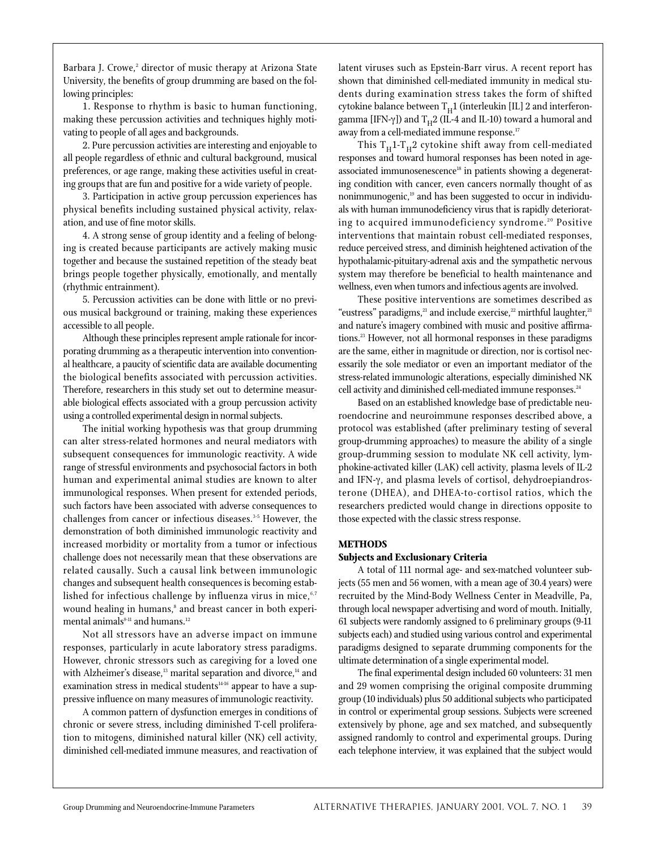Barbara J. Crowe,<sup>2</sup> director of music therapy at Arizona State University, the benefits of group drumming are based on the following principles:

1. Response to rhythm is basic to human functioning, making these percussion activities and techniques highly motivating to people of all ages and backgrounds.

2. Pure percussion activities are interesting and enjoyable to all people regardless of ethnic and cultural background, musical preferences, or age range, making these activities useful in creating groups that are fun and positive for a wide variety of people.

3. Participation in active group percussion experiences has physical benefits including sustained physical activity, relaxation, and use of fine motor skills.

4. A strong sense of group identity and a feeling of belonging is created because participants are actively making music together and because the sustained repetition of the steady beat brings people together physically, emotionally, and mentally (rhythmic entrainment).

5. Percussion activities can be done with little or no previous musical background or training, making these experiences accessible to all people.

Although these principles represent ample rationale for incorporating drumming as a therapeutic intervention into conventional healthcare, a paucity of scientific data are available documenting the biological benefits associated with percussion activities. Therefore, researchers in this study set out to determine measurable biological effects associated with a group percussion activity using a controlled experimental design in normal subjects.

The initial working hypothesis was that group drumming can alter stress-related hormones and neural mediators with subsequent consequences for immunologic reactivity. A wide range of stressful environments and psychosocial factors in both human and experimental animal studies are known to alter immunological responses. When present for extended periods, such factors have been associated with adverse consequences to challenges from cancer or infectious diseases.<sup>3-5</sup> However, the demonstration of both diminished immunologic reactivity and increased morbidity or mortality from a tumor or infectious challenge does not necessarily mean that these observations are related causally. Such a causal link between immunologic changes and subsequent health consequences is becoming established for infectious challenge by influenza virus in mice, $6,7$ wound healing in humans,<sup>8</sup> and breast cancer in both experimental animals $9-11$  and humans.<sup>12</sup>

Not all stressors have an adverse impact on immune responses, particularly in acute laboratory stress paradigms. However, chronic stressors such as caregiving for a loved one with Alzheimer's disease,<sup>13</sup> marital separation and divorce,<sup>14</sup> and examination stress in medical students<sup>14-16</sup> appear to have a suppressive influence on many measures of immunologic reactivity.

A common pattern of dysfunction emerges in conditions of chronic or severe stress, including diminished T-cell proliferation to mitogens, diminished natural killer (NK) cell activity, diminished cell-mediated immune measures, and reactivation of latent viruses such as Epstein-Barr virus. A recent report has shown that diminished cell-mediated immunity in medical students during examination stress takes the form of shifted cytokine balance between  $T_H1$  (interleukin [IL] 2 and interferongamma [IFN-γ]) and  $T_H^2$  (IL-4 and IL-10) toward a humoral and away from a cell-mediated immune response.<sup>17</sup>

This  $T_H1-T_H2$  cytokine shift away from cell-mediated responses and toward humoral responses has been noted in ageassociated immunosenescence<sup>18</sup> in patients showing a degenerating condition with cancer, even cancers normally thought of as nonimmunogenic,<sup>19</sup> and has been suggested to occur in individuals with human immunodeficiency virus that is rapidly deteriorating to acquired immunodeficiency syndrome.<sup>20</sup> Positive interventions that maintain robust cell-mediated responses, reduce perceived stress, and diminish heightened activation of the hypothalamic-pituitary-adrenal axis and the sympathetic nervous system may therefore be beneficial to health maintenance and wellness, even when tumors and infectious agents are involved.

These positive interventions are sometimes described as "eustress" paradigms,<sup>21</sup> and include exercise,<sup>22</sup> mirthful laughter,<sup>21</sup> and nature's imagery combined with music and positive affirmations.23 However, not all hormonal responses in these paradigms are the same, either in magnitude or direction, nor is cortisol necessarily the sole mediator or even an important mediator of the stress-related immunologic alterations, especially diminished NK cell activity and diminished cell-mediated immune responses.<sup>24</sup>

Based on an established knowledge base of predictable neuroendocrine and neuroimmune responses described above, a protocol was established (after preliminary testing of several group-drumming approaches) to measure the ability of a single group-drumming session to modulate NK cell activity, lymphokine-activated killer (LAK) cell activity, plasma levels of IL-2 and IFN-γ, and plasma levels of cortisol, dehydroepiandrosterone (DHEA), and DHEA-to-cortisol ratios, which the researchers predicted would change in directions opposite to those expected with the classic stress response.

## **METHODS**

# **Subjects and Exclusionary Criteria**

A total of 111 normal age- and sex-matched volunteer subjects (55 men and 56 women, with a mean age of 30.4 years) were recruited by the Mind-Body Wellness Center in Meadville, Pa, through local newspaper advertising and word of mouth. Initially, 61 subjects were randomly assigned to 6 preliminary groups (9-11 subjects each) and studied using various control and experimental paradigms designed to separate drumming components for the ultimate determination of a single experimental model.

The final experimental design included 60 volunteers: 31 men and 29 women comprising the original composite drumming group (10 individuals) plus 50 additional subjects who participated in control or experimental group sessions. Subjects were screened extensively by phone, age and sex matched, and subsequently assigned randomly to control and experimental groups. During each telephone interview, it was explained that the subject would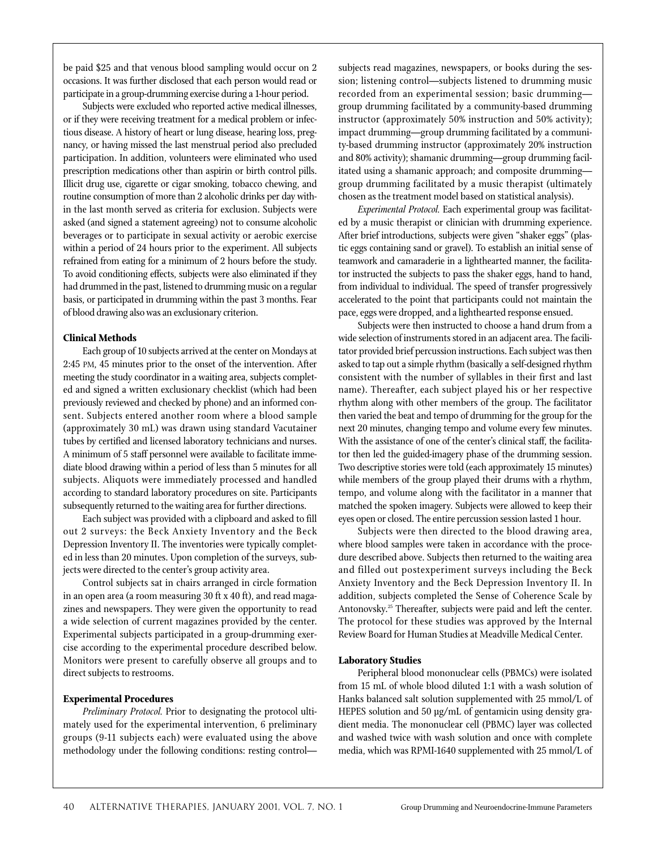be paid \$25 and that venous blood sampling would occur on 2 occasions. It was further disclosed that each person would read or participate in a group-drumming exercise during a 1-hour period.

Subjects were excluded who reported active medical illnesses, or if they were receiving treatment for a medical problem or infectious disease. A history of heart or lung disease, hearing loss, pregnancy, or having missed the last menstrual period also precluded participation. In addition, volunteers were eliminated who used prescription medications other than aspirin or birth control pills. Illicit drug use, cigarette or cigar smoking, tobacco chewing, and routine consumption of more than 2 alcoholic drinks per day within the last month served as criteria for exclusion. Subjects were asked (and signed a statement agreeing) not to consume alcoholic beverages or to participate in sexual activity or aerobic exercise within a period of 24 hours prior to the experiment. All subjects refrained from eating for a minimum of 2 hours before the study. To avoid conditioning effects, subjects were also eliminated if they had drummed in the past, listened to drumming music on a regular basis, or participated in drumming within the past 3 months. Fear of blood drawing also was an exclusionary criterion.

# **Clinical Methods**

Each group of 10 subjects arrived at the center on Mondays at 2:45 PM, 45 minutes prior to the onset of the intervention. After meeting the study coordinator in a waiting area, subjects completed and signed a written exclusionary checklist (which had been previously reviewed and checked by phone) and an informed consent. Subjects entered another room where a blood sample (approximately 30 mL) was drawn using standard Vacutainer tubes by certified and licensed laboratory technicians and nurses. A minimum of 5 staff personnel were available to facilitate immediate blood drawing within a period of less than 5 minutes for all subjects. Aliquots were immediately processed and handled according to standard laboratory procedures on site. Participants subsequently returned to the waiting area for further directions.

Each subject was provided with a clipboard and asked to fill out 2 surveys: the Beck Anxiety Inventory and the Beck Depression Inventory II. The inventories were typically completed in less than 20 minutes. Upon completion of the surveys, subjects were directed to the center's group activity area.

Control subjects sat in chairs arranged in circle formation in an open area (a room measuring 30 ft x 40 ft), and read magazines and newspapers. They were given the opportunity to read a wide selection of current magazines provided by the center. Experimental subjects participated in a group-drumming exercise according to the experimental procedure described below. Monitors were present to carefully observe all groups and to direct subjects to restrooms.

### **Experimental Procedures**

*Preliminary Protocol.* Prior to designating the protocol ultimately used for the experimental intervention, 6 preliminary groups (9-11 subjects each) were evaluated using the above methodology under the following conditions: resting controlsubjects read magazines, newspapers, or books during the session; listening control—subjects listened to drumming music recorded from an experimental session; basic drumming group drumming facilitated by a community-based drumming instructor (approximately 50% instruction and 50% activity); impact drumming—group drumming facilitated by a community-based drumming instructor (approximately 20% instruction and 80% activity); shamanic drumming—group drumming facilitated using a shamanic approach; and composite drumming group drumming facilitated by a music therapist (ultimately chosen as the treatment model based on statistical analysis).

*Experimental Protocol.* Each experimental group was facilitated by a music therapist or clinician with drumming experience. After brief introductions, subjects were given "shaker eggs" (plastic eggs containing sand or gravel). To establish an initial sense of teamwork and camaraderie in a lighthearted manner, the facilitator instructed the subjects to pass the shaker eggs, hand to hand, from individual to individual. The speed of transfer progressively accelerated to the point that participants could not maintain the pace, eggs were dropped, and a lighthearted response ensued.

Subjects were then instructed to choose a hand drum from a wide selection of instruments stored in an adjacent area. The facilitator provided brief percussion instructions. Each subject was then asked to tap out a simple rhythm (basically a self-designed rhythm consistent with the number of syllables in their first and last name). Thereafter, each subject played his or her respective rhythm along with other members of the group. The facilitator then varied the beat and tempo of drumming for the group for the next 20 minutes, changing tempo and volume every few minutes. With the assistance of one of the center's clinical staff, the facilitator then led the guided-imagery phase of the drumming session. Two descriptive stories were told (each approximately 15 minutes) while members of the group played their drums with a rhythm, tempo, and volume along with the facilitator in a manner that matched the spoken imagery. Subjects were allowed to keep their eyes open or closed. The entire percussion session lasted 1 hour.

Subjects were then directed to the blood drawing area, where blood samples were taken in accordance with the procedure described above. Subjects then returned to the waiting area and filled out postexperiment surveys including the Beck Anxiety Inventory and the Beck Depression Inventory II. In addition, subjects completed the Sense of Coherence Scale by Antonovsky.<sup>25</sup> Thereafter, subjects were paid and left the center. The protocol for these studies was approved by the Internal Review Board for Human Studies at Meadville Medical Center.

### **Laboratory Studies**

Peripheral blood mononuclear cells (PBMCs) were isolated from 15 mL of whole blood diluted 1:1 with a wash solution of Hanks balanced salt solution supplemented with 25 mmol/L of HEPES solution and 50 µg/mL of gentamicin using density gradient media. The mononuclear cell (PBMC) layer was collected and washed twice with wash solution and once with complete media, which was RPMI-1640 supplemented with 25 mmol/L of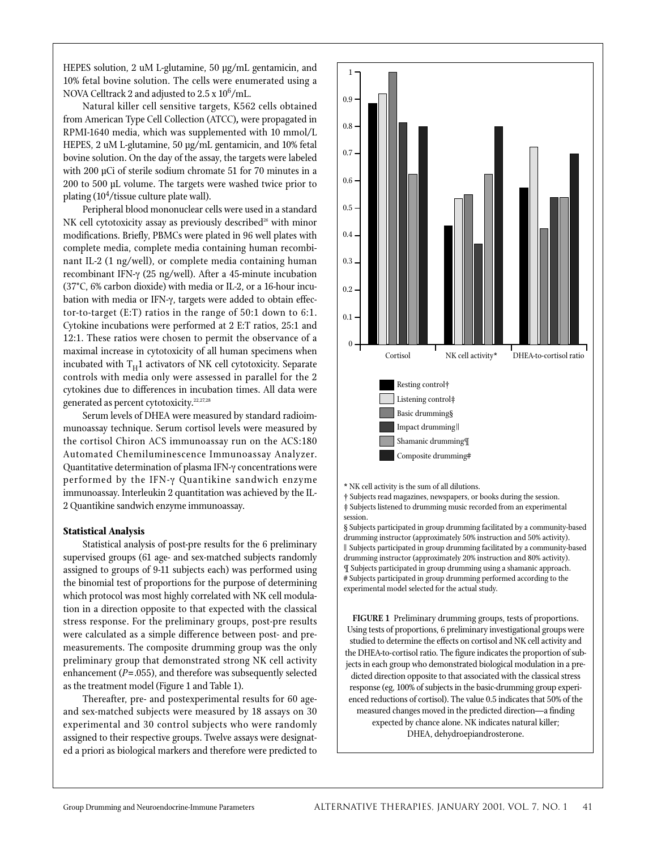HEPES solution, 2 uM L-glutamine, 50 µg/mL gentamicin, and 10% fetal bovine solution. The cells were enumerated using a NOVA Celltrack 2 and adjusted to  $2.5 \times 10^6$ /mL.

Natural killer cell sensitive targets, K562 cells obtained from American Type Cell Collection (ATCC)**,** were propagated in RPMI-1640 media, which was supplemented with 10 mmol/L HEPES, 2 uM L-glutamine, 50 µg/mL gentamicin, and 10% fetal bovine solution. On the day of the assay, the targets were labeled with 200 µCi of sterile sodium chromate 51 for 70 minutes in a 200 to 500 µL volume. The targets were washed twice prior to plating  $(10^4$ /tissue culture plate wall).

Peripheral blood mononuclear cells were used in a standard NK cell cytotoxicity assay as previously described<sup>26</sup> with minor modifications. Briefly, PBMCs were plated in 96 well plates with complete media, complete media containing human recombinant IL-2 (1 ng/well), or complete media containing human recombinant IFN-γ (25 ng/well). After a 45-minute incubation (37°C, 6% carbon dioxide) with media or IL-2, or a 16-hour incubation with media or IFN-γ, targets were added to obtain effector-to-target (E:T) ratios in the range of 50:1 down to 6:1. Cytokine incubations were performed at 2 E:T ratios, 25:1 and 12:1. These ratios were chosen to permit the observance of a maximal increase in cytotoxicity of all human specimens when incubated with  $T_H1$  activators of NK cell cytotoxicity. Separate controls with media only were assessed in parallel for the 2 cytokines due to differences in incubation times. All data were generated as percent cytotoxicity.<sup>22,27,28</sup>

Serum levels of DHEA were measured by standard radioimmunoassay technique. Serum cortisol levels were measured by the cortisol Chiron ACS immunoassay run on the ACS:180 Automated Chemiluminescence Immunoassay Analyzer. Quantitative determination of plasma IFN-γ concentrations were performed by the IFN-γ Quantikine sandwich enzyme immunoassay. Interleukin 2 quantitation was achieved by the IL-2 Quantikine sandwich enzyme immunoassay.

# **Statistical Analysis**

Statistical analysis of post-pre results for the 6 preliminary supervised groups (61 age- and sex-matched subjects randomly assigned to groups of 9-11 subjects each) was performed using the binomial test of proportions for the purpose of determining which protocol was most highly correlated with NK cell modulation in a direction opposite to that expected with the classical stress response. For the preliminary groups, post-pre results were calculated as a simple difference between post- and premeasurements. The composite drumming group was the only preliminary group that demonstrated strong NK cell activity enhancement (*P*=.055), and therefore was subsequently selected as the treatment model (Figure 1 and Table 1).

Thereafter, pre- and postexperimental results for 60 ageand sex-matched subjects were measured by 18 assays on 30 experimental and 30 control subjects who were randomly assigned to their respective groups. Twelve assays were designated a priori as biological markers and therefore were predicted to



jects in each group who demonstrated biological modulation in a predicted direction opposite to that associated with the classical stress response (eg, 100% of subjects in the basic-drumming group experienced reductions of cortisol). The value 0.5 indicates that 50% of the measured changes moved in the predicted direction—a finding expected by chance alone. NK indicates natural killer; DHEA, dehydroepiandrosterone.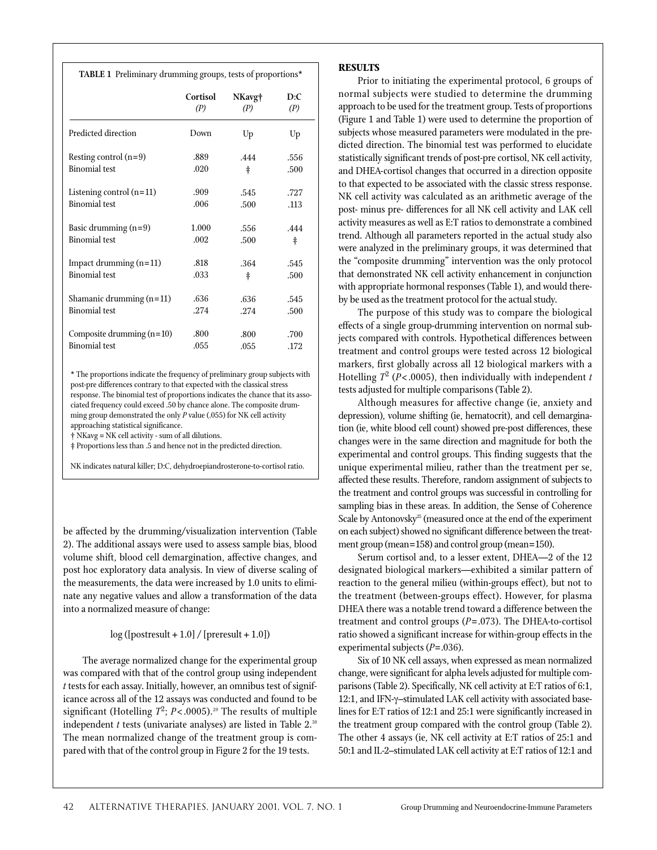| TABLE 1 Preliminary drumming groups, tests of proportions* |          |            |            |
|------------------------------------------------------------|----------|------------|------------|
|                                                            | Cortisol | NKavg†     | D:C        |
|                                                            | (P)      | (P)        | (P)        |
| Predicted direction                                        | Down     | Up         | Up         |
| Resting control $(n=9)$                                    | .889     | .444       | .556       |
| <b>Binomial</b> test                                       | .020     | ŧ          | .500       |
| Listening control $(n=11)$                                 | .909     | .545       | .727       |
| <b>Binomial</b> test                                       | .006     | .500       | .113       |
| Basic drumming $(n=9)$                                     | 1.000    | .556       | .444       |
| <b>Binomial</b> test                                       | .002     | .500       | $\ddagger$ |
| Impact drumming $(n=11)$                                   | .818     | .364       | .545       |
| <b>Binomial</b> test                                       | .033     | $\ddagger$ | .500       |
| Shamanic drumming $(n=11)$                                 | .636     | .636       | .545       |
| <b>Binomial</b> test                                       | .274     | .274       | .500       |
| Composite drumming $(n=10)$                                | .800     | .800       | .700       |
| <b>Binomial</b> test                                       | .055     | .055       | .172       |

\* The proportions indicate the frequency of preliminary group subjects with post-pre differences contrary to that expected with the classical stress response. The binomial test of proportions indicates the chance that its associated frequency could exceed .50 by chance alone. The composite drumming group demonstrated the only *P* value (.055) for NK cell activity approaching statistical significance.

† NKavg = NK cell activity - sum of all dilutions.

‡ Proportions less than .5 and hence not in the predicted direction.

NK indicates natural killer; D:C, dehydroepiandrosterone-to-cortisol ratio.

be affected by the drumming/visualization intervention (Table 2). The additional assays were used to assess sample bias, blood volume shift, blood cell demargination, affective changes, and post hoc exploratory data analysis. In view of diverse scaling of the measurements, the data were increased by 1.0 units to eliminate any negative values and allow a transformation of the data into a normalized measure of change:

## $log([postresult + 1.0] / [present + 1.0])$

The average normalized change for the experimental group was compared with that of the control group using independent *t* tests for each assay. Initially, however, an omnibus test of significance across all of the 12 assays was conducted and found to be significant (Hotelling  $T^2$ ;  $P < .0005$ ).<sup>29</sup> The results of multiple independent  $t$  tests (univariate analyses) are listed in Table  $2.^{30}$ The mean normalized change of the treatment group is compared with that of the control group in Figure 2 for the 19 tests.

#### **RESULTS**

Prior to initiating the experimental protocol, 6 groups of normal subjects were studied to determine the drumming approach to be used for the treatment group. Tests of proportions (Figure 1 and Table 1) were used to determine the proportion of subjects whose measured parameters were modulated in the predicted direction. The binomial test was performed to elucidate statistically significant trends of post-pre cortisol, NK cell activity, and DHEA-cortisol changes that occurred in a direction opposite to that expected to be associated with the classic stress response. NK cell activity was calculated as an arithmetic average of the post- minus pre- differences for all NK cell activity and LAK cell activity measures as well as E:T ratios to demonstrate a combined trend. Although all parameters reported in the actual study also were analyzed in the preliminary groups, it was determined that the "composite drumming" intervention was the only protocol that demonstrated NK cell activity enhancement in conjunction with appropriate hormonal responses (Table 1), and would thereby be used as the treatment protocol for the actual study.

The purpose of this study was to compare the biological effects of a single group-drumming intervention on normal subjects compared with controls. Hypothetical differences between treatment and control groups were tested across 12 biological markers, first globally across all 12 biological markers with a Hotelling  $T^2$  ( $P$ <.0005), then individually with independent *t* tests adjusted for multiple comparisons (Table 2).

Although measures for affective change (ie, anxiety and depression), volume shifting (ie, hematocrit), and cell demargination (ie, white blood cell count) showed pre-post differences, these changes were in the same direction and magnitude for both the experimental and control groups. This finding suggests that the unique experimental milieu, rather than the treatment per se, affected these results. Therefore, random assignment of subjects to the treatment and control groups was successful in controlling for sampling bias in these areas. In addition, the Sense of Coherence Scale by Antonovsky<sup>25</sup> (measured once at the end of the experiment on each subject) showed no significant difference between the treatment group (mean=158) and control group (mean=150).

Serum cortisol and, to a lesser extent, DHEA—2 of the 12 designated biological markers—exhibited a similar pattern of reaction to the general milieu (within-groups effect), but not to the treatment (between-groups effect). However, for plasma DHEA there was a notable trend toward a difference between the treatment and control groups (*P*=.073). The DHEA-to-cortisol ratio showed a significant increase for within-group effects in the experimental subjects (*P*=.036).

Six of 10 NK cell assays, when expressed as mean normalized change, were significant for alpha levels adjusted for multiple comparisons (Table 2). Specifically, NK cell activity at E:T ratios of 6:1, 12:1, and IFN-γ–stimulated LAK cell activity with associated baselines for E:T ratios of 12:1 and 25:1 were significantly increased in the treatment group compared with the control group (Table 2). The other 4 assays (ie, NK cell activity at E:T ratios of 25:1 and 50:1 and IL-2–stimulated LAK cell activity at E:T ratios of 12:1 and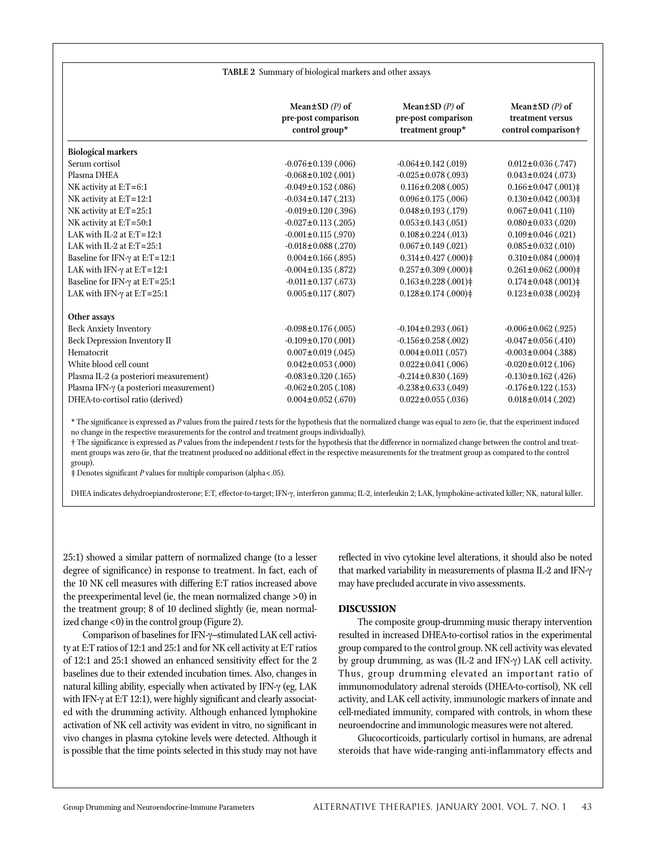| TABLE 2 Summary of biological markers and other assays        |                                                                   |                                                                   |  |  |
|---------------------------------------------------------------|-------------------------------------------------------------------|-------------------------------------------------------------------|--|--|
|                                                               |                                                                   |                                                                   |  |  |
| Mean $\pm$ SD (P) of<br>pre-post comparison<br>control group* | Mean $\pm$ SD $(P)$ of<br>pre-post comparison<br>treatment group* | Mean $\pm$ SD $(P)$ of<br>treatment versus<br>control comparison† |  |  |
|                                                               |                                                                   |                                                                   |  |  |
| $-0.076 \pm 0.139$ (.006)                                     | $-0.064 \pm 0.142$ (.019)                                         | $0.012 \pm 0.036$ (.747)                                          |  |  |
| $-0.068 \pm 0.102$ (.001)                                     | $-0.025 \pm 0.078$ (.093)                                         | $0.043 \pm 0.024$ (.073)                                          |  |  |
| $-0.049 \pm 0.152$ (.086)                                     | $0.116 \pm 0.208$ (.005)                                          | $0.166 \pm 0.047$ (.001) $\ddagger$                               |  |  |
| $-0.034 \pm 0.147$ (.213)                                     | $0.096 \pm 0.175$ (.006)                                          | $0.130 \pm 0.042$ (.003) $\ddagger$                               |  |  |
| $-0.019 \pm 0.120$ (.396)                                     | $0.048 \pm 0.193$ (.179)                                          | $0.067 \pm 0.041$ (.110)                                          |  |  |
| $-0.027 \pm 0.113$ (.205)                                     | $0.053 \pm 0.143$ (.051)                                          | $0.080 \pm 0.033$ (.020)                                          |  |  |
| $-0.001 \pm 0.115$ (.970)                                     | $0.108 \pm 0.224$ (.013)                                          | $0.109 \pm 0.046$ (.021)                                          |  |  |
| $-0.018 \pm 0.088$ (.270)                                     | $0.067 \pm 0.149$ (.021)                                          | $0.085 \pm 0.032$ (.010)                                          |  |  |
| $0.004 \pm 0.166$ (.895)                                      | $0.314 \pm 0.427$ (.000) $\ddagger$                               | $0.310 \pm 0.084$ (.000) $\ddagger$                               |  |  |
| $-0.004 \pm 0.135$ (.872)                                     | $0.257 \pm 0.309$ (.000) $\ddagger$                               | $0.261 \pm 0.062$ (.000) $\ddagger$                               |  |  |
| $-0.011 \pm 0.137$ (.673)                                     | $0.163 \pm 0.228$ (.001) $\ddagger$                               | $0.174 \pm 0.048$ (.001) ‡                                        |  |  |
| $0.005 \pm 0.117$ (.807)                                      | $0.128 \pm 0.174$ (.000) ‡                                        | $0.123 \pm 0.038$ (.002) $\ddagger$                               |  |  |
|                                                               |                                                                   |                                                                   |  |  |
|                                                               | $-0.104 \pm 0.293$ (.061)                                         | $-0.006 \pm 0.062$ (.925)                                         |  |  |
| $-0.109 \pm 0.170$ (.001)                                     | $-0.156 \pm 0.258$ (.002)                                         | $-0.047 \pm 0.056$ (.410)                                         |  |  |
| $0.007 \pm 0.019$ (.045)                                      | $0.004 \pm 0.011$ (.057)                                          | $-0.003 \pm 0.004$ (.388)                                         |  |  |
| $0.042 \pm 0.053$ (.000)                                      | $0.022 \pm 0.041$ (.006)                                          | $-0.020 \pm 0.012$ (.106)                                         |  |  |
| $-0.083 \pm 0.320$ (.165)                                     | $-0.214 \pm 0.830$ (.169)                                         | $-0.130 \pm 0.162$ (.426)                                         |  |  |
| $-0.062 \pm 0.205$ (.108)                                     | $-0.238 \pm 0.633$ (.049)                                         | $-0.176 \pm 0.122$ (.153)                                         |  |  |
| $0.004 \pm 0.052$ (.670)                                      | $0.022 \pm 0.055$ (.036)                                          | $0.018 \pm 0.014$ (.202)                                          |  |  |
|                                                               | $-0.098 \pm 0.176$ (.005)                                         |                                                                   |  |  |

\* The significance is expressed as *P* values from the paired *t* tests for the hypothesis that the normalized change was equal to zero (ie, that the experiment induced no change in the respective measurements for the control and treatment groups individually).

† The significance is expressed as *P* values from the independent *t* tests for the hypothesis that the difference in normalized change between the control and treatment groups was zero (ie, that the treatment produced no additional effect in the respective measurements for the treatment group as compared to the control group).

‡ Denotes significant *P* values for multiple comparison (alpha<.05).

DHEA indicates dehydroepiandrosterone; E:T, effector-to-target; IFN-γ, interferon gamma; IL-2, interleukin 2; LAK, lymphokine-activated killer; NK, natural killer.

25:1) showed a similar pattern of normalized change (to a lesser degree of significance) in response to treatment. In fact, each of the 10 NK cell measures with differing E:T ratios increased above the preexperimental level (ie, the mean normalized change >0) in the treatment group; 8 of 10 declined slightly (ie, mean normalized change <0) in the control group (Figure 2).

Comparison of baselines for IFN-γ–stimulated LAK cell activity at E:T ratios of 12:1 and 25:1 and for NK cell activity at E:T ratios of 12:1 and 25:1 showed an enhanced sensitivity effect for the 2 baselines due to their extended incubation times. Also, changes in natural killing ability, especially when activated by IFN-γ (eg, LAK with IFN-γ at E:T 12:1), were highly significant and clearly associated with the drumming activity. Although enhanced lymphokine activation of NK cell activity was evident in vitro, no significant in vivo changes in plasma cytokine levels were detected. Although it is possible that the time points selected in this study may not have

reflected in vivo cytokine level alterations, it should also be noted that marked variability in measurements of plasma IL-2 and IFN-γ may have precluded accurate in vivo assessments.

## **DISCUSSION**

The composite group-drumming music therapy intervention resulted in increased DHEA-to-cortisol ratios in the experimental group compared to the control group. NK cell activity was elevated by group drumming, as was (IL-2 and IFN-γ) LAK cell activity. Thus, group drumming elevated an important ratio of immunomodulatory adrenal steroids (DHEA-to-cortisol), NK cell activity, and LAK cell activity, immunologic markers of innate and cell-mediated immunity, compared with controls, in whom these neuroendocrine and immunologic measures were not altered.

Glucocorticoids, particularly cortisol in humans, are adrenal steroids that have wide-ranging anti-inflammatory effects and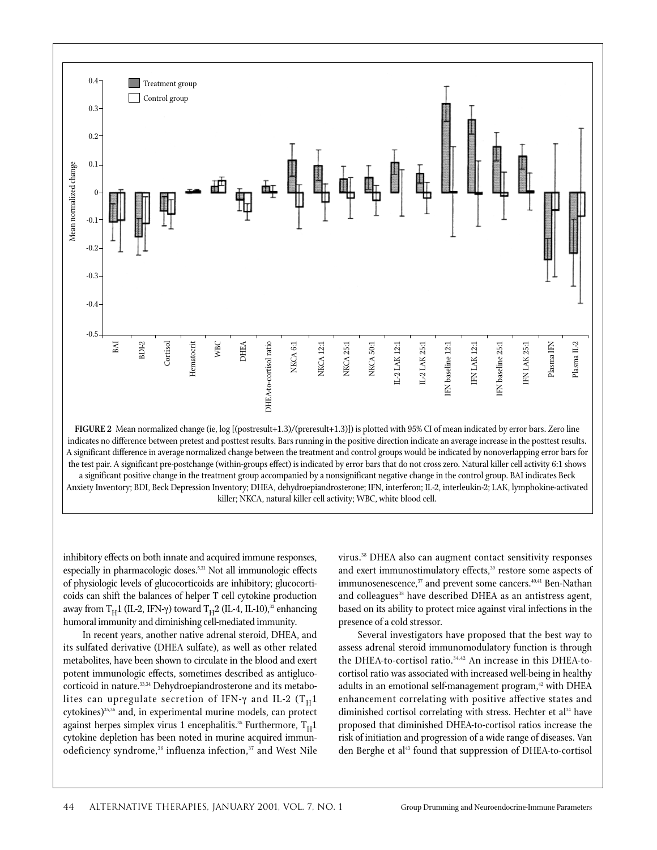

the test pair. A significant pre-postchange (within-groups effect) is indicated by error bars that do not cross zero. Natural killer cell activity 6:1 shows a significant positive change in the treatment group accompanied by a nonsignificant negative change in the control group. BAI indicates Beck Anxiety Inventory; BDI, Beck Depression Inventory; DHEA, dehydroepiandrosterone; IFN, interferon; IL-2, interleukin-2; LAK, lymphokine-activated killer; NKCA, natural killer cell activity; WBC, white blood cell.

inhibitory effects on both innate and acquired immune responses, especially in pharmacologic doses.<sup>5,31</sup> Not all immunologic effects of physiologic levels of glucocorticoids are inhibitory; glucocorticoids can shift the balances of helper T cell cytokine production away from T<sub>H</sub>1 (IL-2, IFN-γ) toward T<sub>H</sub>2 (IL-4, IL-10),<sup>32</sup> enhancing humoral immunity and diminishing cell-mediated immunity.

In recent years, another native adrenal steroid, DHEA, and its sulfated derivative (DHEA sulfate), as well as other related metabolites, have been shown to circulate in the blood and exert potent immunologic effects, sometimes described as antiglucocorticoid in nature.<sup>33,34</sup> Dehydroepiandrosterone and its metabolites can upregulate secretion of IFN- $\gamma$  and IL-2 (T<sub>H</sub>1 cytokines)<sup>35,36</sup> and, in experimental murine models, can protect against herpes simplex virus 1 encephalitis.<sup>35</sup> Furthermore,  $T_H1$ cytokine depletion has been noted in murine acquired immunodeficiency syndrome,<sup>36</sup> influenza infection,<sup>37</sup> and West Nile

virus.38 DHEA also can augment contact sensitivity responses and exert immunostimulatory effects,<sup>39</sup> restore some aspects of immunosenescence,<sup>37</sup> and prevent some cancers.<sup>40,41</sup> Ben-Nathan and colleagues<sup>38</sup> have described DHEA as an antistress agent, based on its ability to protect mice against viral infections in the presence of a cold stressor.

Several investigators have proposed that the best way to assess adrenal steroid immunomodulatory function is through the DHEA-to-cortisol ratio.<sup>34,42</sup> An increase in this DHEA-tocortisol ratio was associated with increased well-being in healthy adults in an emotional self-management program,<sup>42</sup> with DHEA enhancement correlating with positive affective states and diminished cortisol correlating with stress. Hechter et al<sup>34</sup> have proposed that diminished DHEA-to-cortisol ratios increase the risk of initiation and progression of a wide range of diseases. Van den Berghe et al<sup>43</sup> found that suppression of DHEA-to-cortisol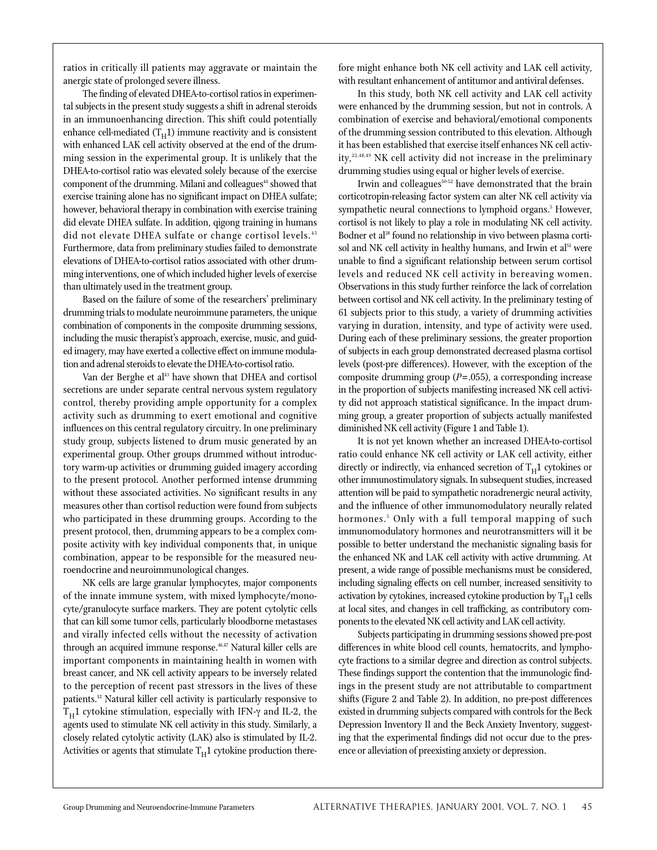ratios in critically ill patients may aggravate or maintain the anergic state of prolonged severe illness.

The finding of elevated DHEA-to-cortisol ratios in experimental subjects in the present study suggests a shift in adrenal steroids in an immunoenhancing direction. This shift could potentially enhance cell-mediated  $(T_H1)$  immune reactivity and is consistent with enhanced LAK cell activity observed at the end of the drumming session in the experimental group. It is unlikely that the DHEA-to-cortisol ratio was elevated solely because of the exercise component of the drumming. Milani and colleagues<sup>44</sup> showed that exercise training alone has no significant impact on DHEA sulfate; however, behavioral therapy in combination with exercise training did elevate DHEA sulfate. In addition, qigong training in humans did not elevate DHEA sulfate or change cortisol levels.<sup>45</sup> Furthermore, data from preliminary studies failed to demonstrate elevations of DHEA-to-cortisol ratios associated with other drumming interventions, one of which included higher levels of exercise than ultimately used in the treatment group.

Based on the failure of some of the researchers' preliminary drumming trials to modulate neuroimmune parameters, the unique combination of components in the composite drumming sessions, including the music therapist's approach, exercise, music, and guided imagery, may have exerted a collective effect on immune modulation and adrenal steroids to elevate the DHEA-to-cortisol ratio.

Van der Berghe et al<sup>43</sup> have shown that DHEA and cortisol secretions are under separate central nervous system regulatory control, thereby providing ample opportunity for a complex activity such as drumming to exert emotional and cognitive influences on this central regulatory circuitry. In one preliminary study group, subjects listened to drum music generated by an experimental group. Other groups drummed without introductory warm-up activities or drumming guided imagery according to the present protocol. Another performed intense drumming without these associated activities. No significant results in any measures other than cortisol reduction were found from subjects who participated in these drumming groups. According to the present protocol, then, drumming appears to be a complex composite activity with key individual components that, in unique combination, appear to be responsible for the measured neuroendocrine and neuroimmunological changes.

NK cells are large granular lymphocytes, major components of the innate immune system, with mixed lymphocyte/monocyte/granulocyte surface markers. They are potent cytolytic cells that can kill some tumor cells, particularly bloodborne metastases and virally infected cells without the necessity of activation through an acquired immune response.<sup>46,47</sup> Natural killer cells are important components in maintaining health in women with breast cancer, and NK cell activity appears to be inversely related to the perception of recent past stressors in the lives of these patients.12 Natural killer cell activity is particularly responsive to  $T<sub>H</sub>1$  cytokine stimulation, especially with IFN-γ and IL-2, the agents used to stimulate NK cell activity in this study. Similarly, a closely related cytolytic activity (LAK) also is stimulated by IL-2. Activities or agents that stimulate  $T_H1$  cytokine production therefore might enhance both NK cell activity and LAK cell activity, with resultant enhancement of antitumor and antiviral defenses.

In this study, both NK cell activity and LAK cell activity were enhanced by the drumming session, but not in controls. A combination of exercise and behavioral/emotional components of the drumming session contributed to this elevation. Although it has been established that exercise itself enhances NK cell activity,<sup>22,48,49</sup> NK cell activity did not increase in the preliminary drumming studies using equal or higher levels of exercise.

Irwin and colleagues<sup>50-52</sup> have demonstrated that the brain corticotropin-releasing factor system can alter NK cell activity via sympathetic neural connections to lymphoid organs.<sup>5</sup> However, cortisol is not likely to play a role in modulating NK cell activity. Bodner et al<sup>28</sup> found no relationship in vivo between plasma cortisol and NK cell activity in healthy humans, and Irwin et al<sup>51</sup> were unable to find a significant relationship between serum cortisol levels and reduced NK cell activity in bereaving women. Observations in this study further reinforce the lack of correlation between cortisol and NK cell activity. In the preliminary testing of 61 subjects prior to this study, a variety of drumming activities varying in duration, intensity, and type of activity were used. During each of these preliminary sessions, the greater proportion of subjects in each group demonstrated decreased plasma cortisol levels (post-pre differences). However, with the exception of the composite drumming group (*P*=.055), a corresponding increase in the proportion of subjects manifesting increased NK cell activity did not approach statistical significance. In the impact drumming group, a greater proportion of subjects actually manifested diminished NK cell activity (Figure 1 and Table 1).

It is not yet known whether an increased DHEA-to-cortisol ratio could enhance NK cell activity or LAK cell activity, either directly or indirectly, via enhanced secretion of  $T_H1$  cytokines or other immunostimulatory signals. In subsequent studies, increased attention will be paid to sympathetic noradrenergic neural activity, and the influence of other immunomodulatory neurally related hormones.<sup>5</sup> Only with a full temporal mapping of such immunomodulatory hormones and neurotransmitters will it be possible to better understand the mechanistic signaling basis for the enhanced NK and LAK cell activity with active drumming. At present, a wide range of possible mechanisms must be considered, including signaling effects on cell number, increased sensitivity to activation by cytokines, increased cytokine production by  $T_H1$  cells at local sites, and changes in cell trafficking, as contributory components to the elevated NK cell activity and LAK cell activity.

Subjects participating in drumming sessions showed pre-post differences in white blood cell counts, hematocrits, and lymphocyte fractions to a similar degree and direction as control subjects. These findings support the contention that the immunologic findings in the present study are not attributable to compartment shifts (Figure 2 and Table 2). In addition, no pre-post differences existed in drumming subjects compared with controls for the Beck Depression Inventory II and the Beck Anxiety Inventory, suggesting that the experimental findings did not occur due to the presence or alleviation of preexisting anxiety or depression.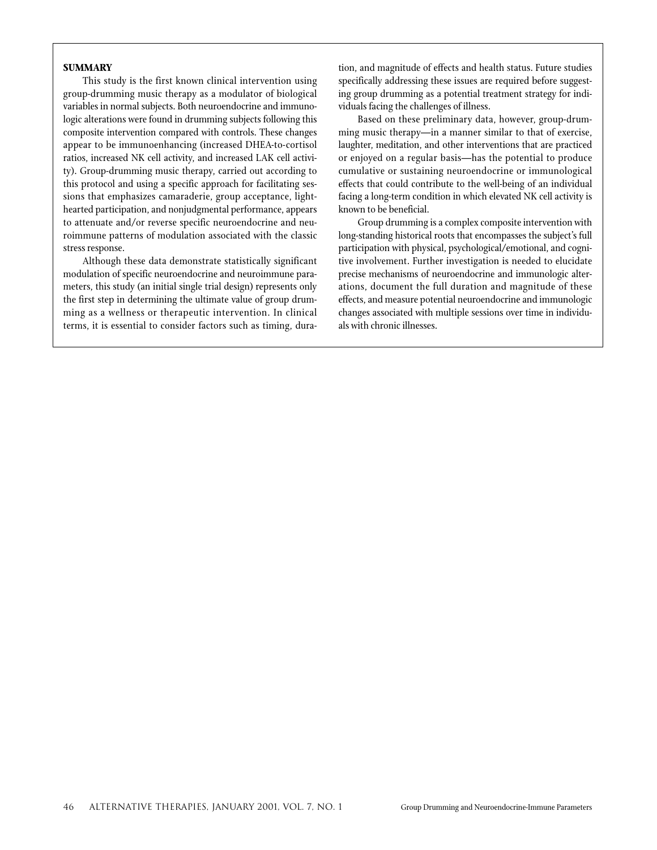## **SUMMARY**

This study is the first known clinical intervention using group-drumming music therapy as a modulator of biological variables in normal subjects. Both neuroendocrine and immunologic alterations were found in drumming subjects following this composite intervention compared with controls. These changes appear to be immunoenhancing (increased DHEA-to-cortisol ratios, increased NK cell activity, and increased LAK cell activity). Group-drumming music therapy, carried out according to this protocol and using a specific approach for facilitating sessions that emphasizes camaraderie, group acceptance, lighthearted participation, and nonjudgmental performance, appears to attenuate and/or reverse specific neuroendocrine and neuroimmune patterns of modulation associated with the classic stress response.

Although these data demonstrate statistically significant modulation of specific neuroendocrine and neuroimmune parameters, this study (an initial single trial design) represents only the first step in determining the ultimate value of group drumming as a wellness or therapeutic intervention. In clinical terms, it is essential to consider factors such as timing, duration, and magnitude of effects and health status. Future studies specifically addressing these issues are required before suggesting group drumming as a potential treatment strategy for individuals facing the challenges of illness.

Based on these preliminary data, however, group-drumming music therapy—in a manner similar to that of exercise, laughter, meditation, and other interventions that are practiced or enjoyed on a regular basis—has the potential to produce cumulative or sustaining neuroendocrine or immunological effects that could contribute to the well-being of an individual facing a long-term condition in which elevated NK cell activity is known to be beneficial.

Group drumming is a complex composite intervention with long-standing historical roots that encompasses the subject's full participation with physical, psychological/emotional, and cognitive involvement. Further investigation is needed to elucidate precise mechanisms of neuroendocrine and immunologic alterations, document the full duration and magnitude of these effects, and measure potential neuroendocrine and immunologic changes associated with multiple sessions over time in individuals with chronic illnesses.